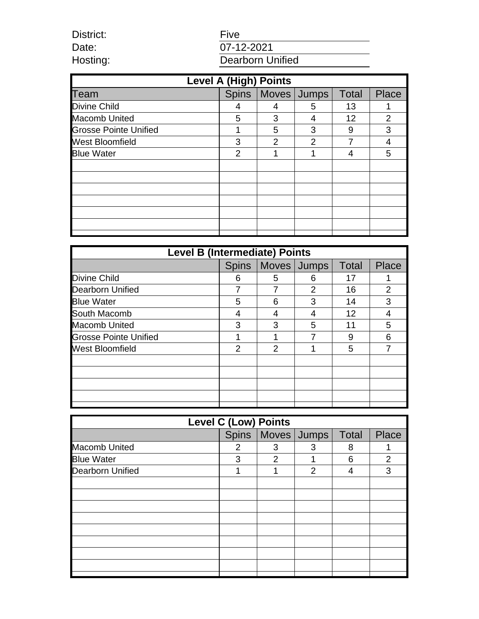| District: |  |
|-----------|--|
| Date:     |  |
| Hosting:  |  |

## Five  $07 - 12 - 2021$ g: Dearborn Unified

| <b>Level A (High) Points</b> |                |                |                       |              |       |
|------------------------------|----------------|----------------|-----------------------|--------------|-------|
| Team                         |                |                | Spins   Moves   Jumps | <b>Total</b> | Place |
| Divine Child                 | 4              |                | 5                     | 13           |       |
| <b>Macomb United</b>         | 5              | 3              | 4                     | 12           | 2     |
| <b>Grosse Pointe Unified</b> | 1              | 5              | 3                     | 9            | 3     |
| <b>West Bloomfield</b>       | 3              | $\overline{c}$ | 2                     |              | 4     |
| <b>Blue Water</b>            | $\mathfrak{p}$ | 1              | 1                     | 4            | 5     |
|                              |                |                |                       |              |       |
|                              |                |                |                       |              |       |
|                              |                |                |                       |              |       |
|                              |                |                |                       |              |       |
|                              |                |                |                       |              |       |
|                              |                |                |                       |              |       |
|                              |                |                |                       |              |       |

| <b>Level B (Intermediate) Points</b> |                |   |               |              |                |
|--------------------------------------|----------------|---|---------------|--------------|----------------|
|                                      | <b>Spins</b>   |   | Moves Jumps   | <b>Total</b> | <b>Place</b>   |
| Divine Child                         | 6              | 5 | 6             | 17           |                |
| Dearborn Unified                     |                |   | $\mathcal{P}$ | 16           | $\overline{2}$ |
| <b>Blue Water</b>                    | 5              | 6 | 3             | 14           | 3              |
| South Macomb                         | 4              |   | 4             | 12           | 4              |
| <b>Macomb United</b>                 | 3              | 3 | 5             | 11           | 5              |
| <b>Grosse Pointe Unified</b>         |                |   |               | 9            | 6              |
| <b>West Bloomfield</b>               | $\mathfrak{p}$ | 2 |               | 5            |                |
|                                      |                |   |               |              |                |
|                                      |                |   |               |              |                |
|                                      |                |   |               |              |                |
|                                      |                |   |               |              |                |
|                                      |                |   |               |              |                |

| <b>Level C (Low) Points</b> |   |                       |                |              |                |
|-----------------------------|---|-----------------------|----------------|--------------|----------------|
|                             |   | Spins   Moves   Jumps |                | <b>Total</b> | Place          |
| <b>Macomb United</b>        | 2 | 3                     | 3              | 8            | 1              |
| <b>Blue Water</b>           | 3 | $\overline{2}$        | 1              | 6            | $\overline{2}$ |
| <b>Dearborn Unified</b>     | 1 | 1                     | $\overline{2}$ | 4            | 3              |
|                             |   |                       |                |              |                |
|                             |   |                       |                |              |                |
|                             |   |                       |                |              |                |
|                             |   |                       |                |              |                |
|                             |   |                       |                |              |                |
|                             |   |                       |                |              |                |
|                             |   |                       |                |              |                |
|                             |   |                       |                |              |                |
|                             |   |                       |                |              |                |